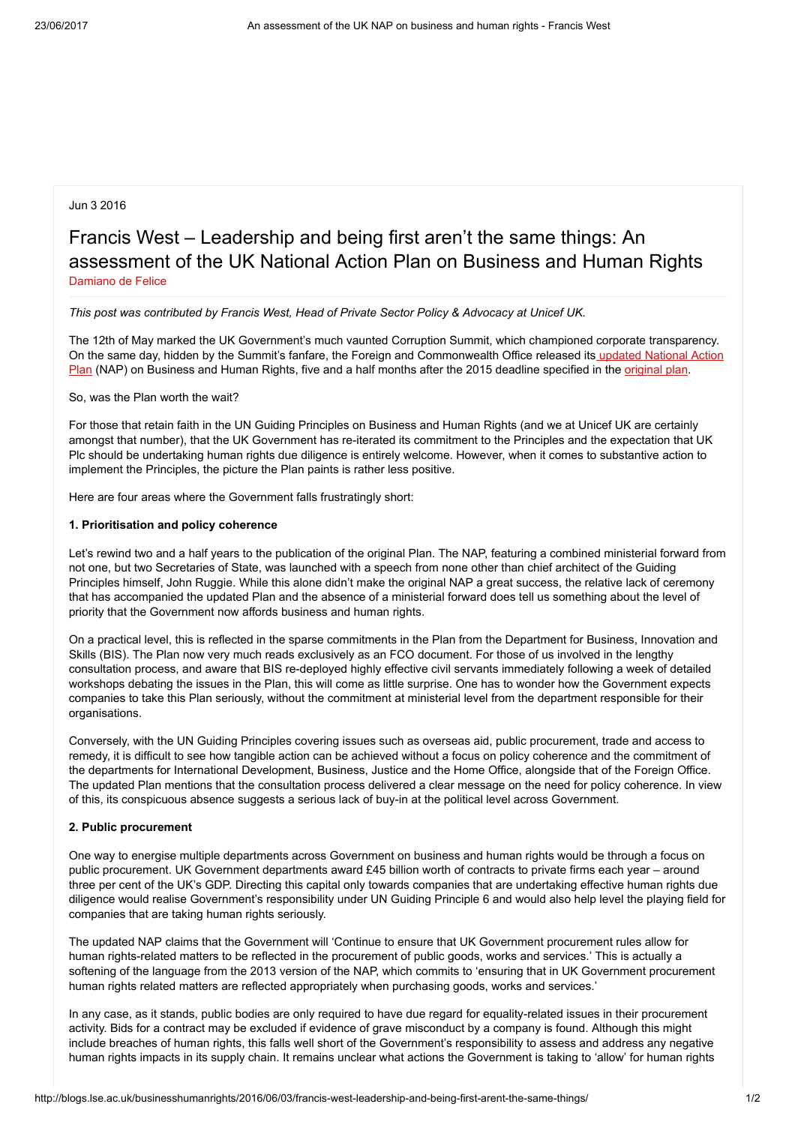# Jun 3 2016

# Francis West – Leadership and being first aren't the same things: An assessment of the UK National Action Plan on Business and Human Rights [Damiano](http://blogs.lse.ac.uk/businesshumanrights/author/defelicd/) de Felice

#### This post was contributed by Francis West, Head of Private Sector Policy & Advocacy at Unicef UK.

The 12th of May marked the UK Government's much vaunted Corruption Summit, which championed corporate transparency. On the same day, hidden by the Summit's fanfare, the Foreign and [Commonwealth](https://www.gov.uk/government/uploads/system/uploads/attachment_data/file/522805/Good_Business_Implementing_the_UN_Guiding_Principles_on_Business_and_Human_Rights_updated_May_2016.pdf) Office released its updated National Action Plan (NAP) on Business and Human Rights, five and a half months after the 2015 deadline specified in the [original](https://www.gov.uk/government/uploads/system/uploads/attachment_data/file/236901/BHR_Action_Plan_-_final_online_version_1_.pdf) plan.

So, was the Plan worth the wait?

For those that retain faith in the UN Guiding Principles on Business and Human Rights (and we at Unicef UK are certainly amongst that number), that the UK Government has re-iterated its commitment to the Principles and the expectation that UK Plc should be undertaking human rights due diligence is entirely welcome. However, when it comes to substantive action to implement the Principles, the picture the Plan paints is rather less positive.

Here are four areas where the Government falls frustratingly short:

#### 1. Prioritisation and policy coherence

Let's rewind two and a half years to the publication of the original Plan. The NAP, featuring a combined ministerial forward from not one, but two Secretaries of State, was launched with a speech from none other than chief architect of the Guiding Principles himself, John Ruggie. While this alone didn't make the original NAP a great success, the relative lack of ceremony that has accompanied the updated Plan and the absence of a ministerial forward does tell us something about the level of priority that the Government now affords business and human rights.

On a practical level, this is reflected in the sparse commitments in the Plan from the Department for Business, Innovation and Skills (BIS). The Plan now very much reads exclusively as an FCO document. For those of us involved in the lengthy consultation process, and aware that BIS re-deployed highly effective civil servants immediately following a week of detailed workshops debating the issues in the Plan, this will come as little surprise. One has to wonder how the Government expects companies to take this Plan seriously, without the commitment at ministerial level from the department responsible for their organisations.

Conversely, with the UN Guiding Principles covering issues such as overseas aid, public procurement, trade and access to remedy, it is difficult to see how tangible action can be achieved without a focus on policy coherence and the commitment of the departments for International Development, Business, Justice and the Home Office, alongside that of the Foreign Office. The updated Plan mentions that the consultation process delivered a clear message on the need for policy coherence. In view of this, its conspicuous absence suggests a serious lack of buy-in at the political level across Government.

#### 2. Public procurement

One way to energise multiple departments across Government on business and human rights would be through a focus on public procurement. UK Government departments award £45 billion worth of contracts to private firms each year – around three per cent of the UK's GDP. Directing this capital only towards companies that are undertaking effective human rights due diligence would realise Government's responsibility under UN Guiding Principle 6 and would also help level the playing field for companies that are taking human rights seriously.

The updated NAP claims that the Government will 'Continue to ensure that UK Government procurement rules allow for human rights-related matters to be reflected in the procurement of public goods, works and services.' This is actually a softening of the language from the 2013 version of the NAP, which commits to 'ensuring that in UK Government procurement human rights related matters are reflected appropriately when purchasing goods, works and services.'

In any case, as it stands, public bodies are only required to have due regard for equality-related issues in their procurement activity. Bids for a contract may be excluded if evidence of grave misconduct by a company is found. Although this might include breaches of human rights, this falls well short of the Government's responsibility to assess and address any negative human rights impacts in its supply chain. It remains unclear what actions the Government is taking to 'allow' for human rights